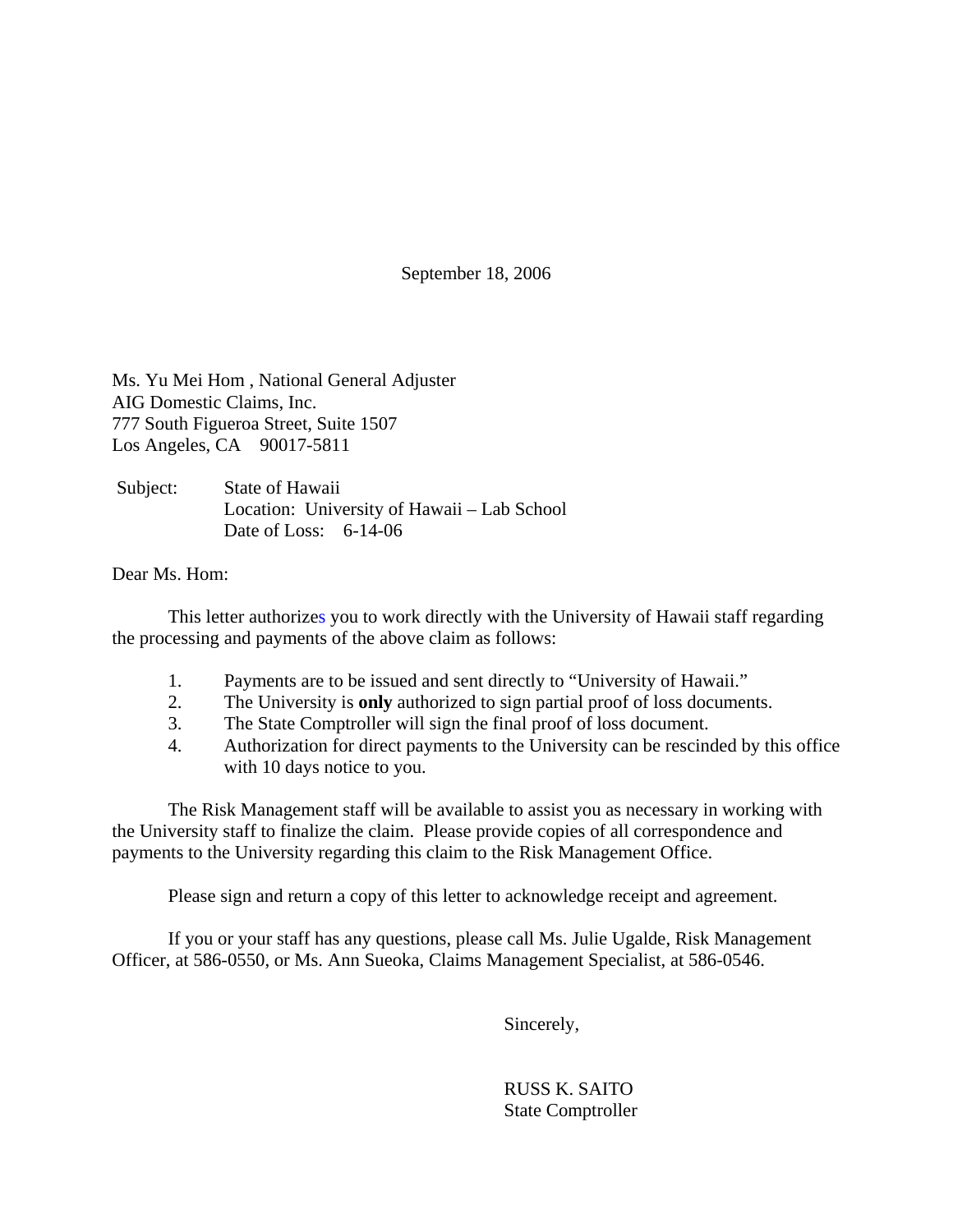September 18, 2006

Ms. Yu Mei Hom , National General Adjuster AIG Domestic Claims, Inc. 777 South Figueroa Street, Suite 1507 Los Angeles, CA 90017-5811

 Subject: State of Hawaii Location: University of Hawaii – Lab School Date of Loss: 6-14-06

Dear Ms. Hom:

This letter authorizes you to work directly with the University of Hawaii staff regarding the processing and payments of the above claim as follows:

- 1. Payments are to be issued and sent directly to "University of Hawaii."
- 2. The University is **only** authorized to sign partial proof of loss documents.
- 3. The State Comptroller will sign the final proof of loss document.
- 4. Authorization for direct payments to the University can be rescinded by this office with 10 days notice to you.

The Risk Management staff will be available to assist you as necessary in working with the University staff to finalize the claim. Please provide copies of all correspondence and payments to the University regarding this claim to the Risk Management Office.

Please sign and return a copy of this letter to acknowledge receipt and agreement.

If you or your staff has any questions, please call Ms. Julie Ugalde, Risk Management Officer, at 586-0550, or Ms. Ann Sueoka, Claims Management Specialist, at 586-0546.

Sincerely,

 RUSS K. SAITO State Comptroller